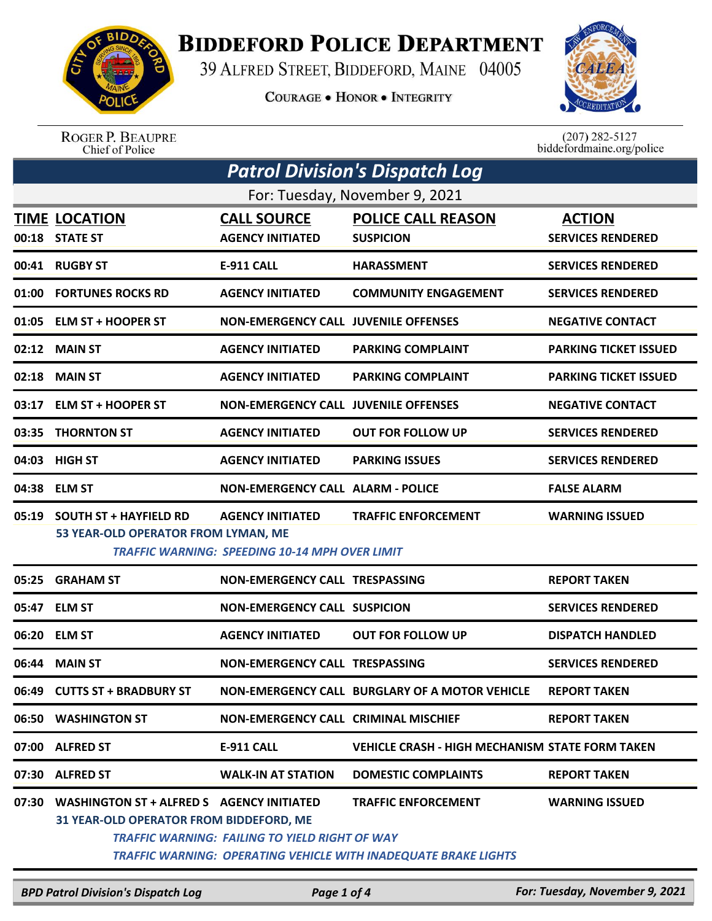

## **BIDDEFORD POLICE DEPARTMENT**

39 ALFRED STREET, BIDDEFORD, MAINE 04005

**COURAGE . HONOR . INTEGRITY** 



ROGER P. BEAUPRE<br>Chief of Police

 $(207)$  282-5127<br>biddefordmaine.org/police

| <b>Patrol Division's Dispatch Log</b> |                                                                                             |                                                                                  |                                                                                                      |                                           |  |
|---------------------------------------|---------------------------------------------------------------------------------------------|----------------------------------------------------------------------------------|------------------------------------------------------------------------------------------------------|-------------------------------------------|--|
| For: Tuesday, November 9, 2021        |                                                                                             |                                                                                  |                                                                                                      |                                           |  |
| 00:18                                 | <b>TIME LOCATION</b><br><b>STATE ST</b>                                                     | <b>CALL SOURCE</b><br><b>AGENCY INITIATED</b>                                    | <b>POLICE CALL REASON</b><br><b>SUSPICION</b>                                                        | <b>ACTION</b><br><b>SERVICES RENDERED</b> |  |
| 00:41                                 | <b>RUGBY ST</b>                                                                             | <b>E-911 CALL</b>                                                                | <b>HARASSMENT</b>                                                                                    | <b>SERVICES RENDERED</b>                  |  |
| 01:00                                 | <b>FORTUNES ROCKS RD</b>                                                                    | <b>AGENCY INITIATED</b>                                                          | <b>COMMUNITY ENGAGEMENT</b>                                                                          | <b>SERVICES RENDERED</b>                  |  |
|                                       | 01:05 ELM ST + HOOPER ST                                                                    | <b>NON-EMERGENCY CALL JUVENILE OFFENSES</b>                                      |                                                                                                      | <b>NEGATIVE CONTACT</b>                   |  |
| 02:12                                 | <b>MAIN ST</b>                                                                              | <b>AGENCY INITIATED</b>                                                          | <b>PARKING COMPLAINT</b>                                                                             | <b>PARKING TICKET ISSUED</b>              |  |
| 02:18                                 | <b>MAIN ST</b>                                                                              | <b>AGENCY INITIATED</b>                                                          | <b>PARKING COMPLAINT</b>                                                                             | <b>PARKING TICKET ISSUED</b>              |  |
| 03:17                                 | <b>ELM ST + HOOPER ST</b>                                                                   | <b>NON-EMERGENCY CALL JUVENILE OFFENSES</b>                                      |                                                                                                      | <b>NEGATIVE CONTACT</b>                   |  |
| 03:35                                 | <b>THORNTON ST</b>                                                                          | <b>AGENCY INITIATED</b>                                                          | <b>OUT FOR FOLLOW UP</b>                                                                             | <b>SERVICES RENDERED</b>                  |  |
| 04:03                                 | <b>HIGH ST</b>                                                                              | <b>AGENCY INITIATED</b>                                                          | <b>PARKING ISSUES</b>                                                                                | <b>SERVICES RENDERED</b>                  |  |
| 04:38                                 | <b>ELM ST</b>                                                                               | <b>NON-EMERGENCY CALL ALARM - POLICE</b>                                         |                                                                                                      | <b>FALSE ALARM</b>                        |  |
| 05:19                                 | <b>SOUTH ST + HAYFIELD RD</b><br>53 YEAR-OLD OPERATOR FROM LYMAN, ME                        | <b>AGENCY INITIATED</b><br><b>TRAFFIC WARNING: SPEEDING 10-14 MPH OVER LIMIT</b> | <b>TRAFFIC ENFORCEMENT</b>                                                                           | <b>WARNING ISSUED</b>                     |  |
| 05:25                                 | <b>GRAHAM ST</b>                                                                            | <b>NON-EMERGENCY CALL TRESPASSING</b>                                            |                                                                                                      | <b>REPORT TAKEN</b>                       |  |
| 05:47                                 | <b>ELM ST</b>                                                                               | <b>NON-EMERGENCY CALL SUSPICION</b>                                              |                                                                                                      | <b>SERVICES RENDERED</b>                  |  |
| 06:20                                 | <b>ELM ST</b>                                                                               | <b>AGENCY INITIATED</b>                                                          | <b>OUT FOR FOLLOW UP</b>                                                                             | <b>DISPATCH HANDLED</b>                   |  |
| 06:44                                 | <b>MAIN ST</b>                                                                              | NON-EMERGENCY CALL TRESPASSING                                                   |                                                                                                      | <b>SERVICES RENDERED</b>                  |  |
|                                       | 06:49 CUTTS ST + BRADBURY ST                                                                |                                                                                  | NON-EMERGENCY CALL BURGLARY OF A MOTOR VEHICLE                                                       | <b>REPORT TAKEN</b>                       |  |
|                                       | 06:50 WASHINGTON ST                                                                         | <b>NON-EMERGENCY CALL CRIMINAL MISCHIEF</b>                                      |                                                                                                      | <b>REPORT TAKEN</b>                       |  |
|                                       | 07:00 ALFRED ST                                                                             | <b>E-911 CALL</b>                                                                | <b>VEHICLE CRASH - HIGH MECHANISM STATE FORM TAKEN</b>                                               |                                           |  |
| 07:30                                 | <b>ALFRED ST</b>                                                                            | <b>WALK-IN AT STATION</b>                                                        | <b>DOMESTIC COMPLAINTS</b>                                                                           | <b>REPORT TAKEN</b>                       |  |
| 07:30                                 | WASHINGTON ST + ALFRED S AGENCY INITIATED<br><b>31 YEAR-OLD OPERATOR FROM BIDDEFORD, ME</b> | <b>TRAFFIC WARNING: FAILING TO YIELD RIGHT OF WAY</b>                            | <b>TRAFFIC ENFORCEMENT</b><br><b>TRAFFIC WARNING: OPERATING VEHICLE WITH INADEQUATE BRAKE LIGHTS</b> | <b>WARNING ISSUED</b>                     |  |

*BPD Patrol Division's Dispatch Log Page 1 of 4 For: Tuesday, November 9, 2021*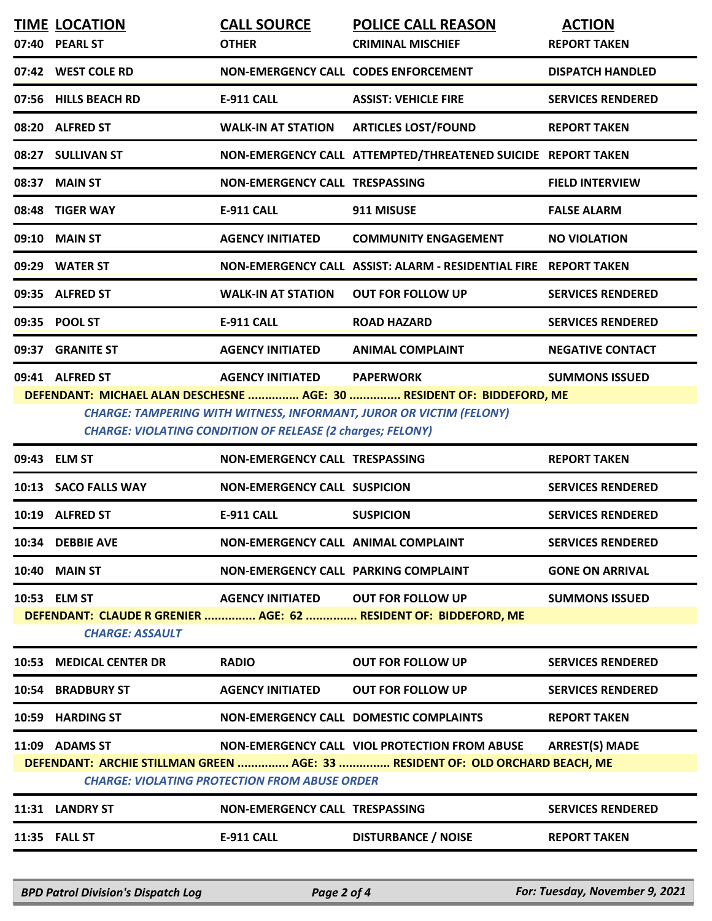|                                                                        | <b>TIME LOCATION</b>                                                       | <b>CALL SOURCE</b>                          | <b>POLICE CALL REASON</b>                                        | <b>ACTION</b>            |  |
|------------------------------------------------------------------------|----------------------------------------------------------------------------|---------------------------------------------|------------------------------------------------------------------|--------------------------|--|
|                                                                        | 07:40 PEARL ST                                                             | <b>OTHER</b>                                | <b>CRIMINAL MISCHIEF</b>                                         | <b>REPORT TAKEN</b>      |  |
|                                                                        | 07:42 WEST COLE RD                                                         | <b>NON-EMERGENCY CALL CODES ENFORCEMENT</b> |                                                                  | <b>DISPATCH HANDLED</b>  |  |
|                                                                        | 07:56 HILLS BEACH RD                                                       | <b>E-911 CALL</b>                           | <b>ASSIST: VEHICLE FIRE</b>                                      | <b>SERVICES RENDERED</b> |  |
|                                                                        | 08:20 ALFRED ST                                                            | <b>WALK-IN AT STATION</b>                   | <b>ARTICLES LOST/FOUND</b>                                       | <b>REPORT TAKEN</b>      |  |
|                                                                        | 08:27 SULLIVAN ST                                                          |                                             | NON-EMERGENCY CALL ATTEMPTED/THREATENED SUICIDE REPORT TAKEN     |                          |  |
|                                                                        | 08:37 MAIN ST                                                              | NON-EMERGENCY CALL TRESPASSING              |                                                                  | <b>FIELD INTERVIEW</b>   |  |
|                                                                        | 08:48 TIGER WAY                                                            | <b>E-911 CALL</b>                           | 911 MISUSE                                                       | <b>FALSE ALARM</b>       |  |
|                                                                        | 09:10 MAIN ST                                                              | <b>AGENCY INITIATED</b>                     | <b>COMMUNITY ENGAGEMENT</b>                                      | <b>NO VIOLATION</b>      |  |
|                                                                        | 09:29 WATER ST                                                             |                                             | NON-EMERGENCY CALL ASSIST: ALARM - RESIDENTIAL FIRE REPORT TAKEN |                          |  |
|                                                                        | 09:35 ALFRED ST                                                            | <b>WALK-IN AT STATION</b>                   | <b>OUT FOR FOLLOW UP</b>                                         | <b>SERVICES RENDERED</b> |  |
|                                                                        | 09:35 POOL ST                                                              | <b>E-911 CALL</b>                           | <b>ROAD HAZARD</b>                                               | <b>SERVICES RENDERED</b> |  |
|                                                                        | 09:37 GRANITE ST                                                           | <b>AGENCY INITIATED</b>                     | <b>ANIMAL COMPLAINT</b>                                          | <b>NEGATIVE CONTACT</b>  |  |
|                                                                        | 09:41 ALFRED ST                                                            | AGENCY INITIATED PAPERWORK                  |                                                                  | <b>SUMMONS ISSUED</b>    |  |
| DEFENDANT: MICHAEL ALAN DESCHESNE  AGE: 30  RESIDENT OF: BIDDEFORD, ME |                                                                            |                                             |                                                                  |                          |  |
|                                                                        | <b>CHARGE: TAMPERING WITH WITNESS, INFORMANT, JUROR OR VICTIM (FELONY)</b> |                                             |                                                                  |                          |  |

*CHARGE: VIOLATING CONDITION OF RELEASE (2 charges; FELONY)*

|                                                                                                                                                                                                                         | 09:43 ELM ST            | NON-EMERGENCY CALL TRESPASSING       |                                                                  | <b>REPORT TAKEN</b>      |
|-------------------------------------------------------------------------------------------------------------------------------------------------------------------------------------------------------------------------|-------------------------|--------------------------------------|------------------------------------------------------------------|--------------------------|
|                                                                                                                                                                                                                         | 10:13 SACO FALLS WAY    | NON-EMERGENCY CALL SUSPICION         |                                                                  | <b>SERVICES RENDERED</b> |
|                                                                                                                                                                                                                         | 10:19 ALFRED ST         | <b>E-911 CALL</b>                    | <b>SUSPICION</b>                                                 | <b>SERVICES RENDERED</b> |
|                                                                                                                                                                                                                         | 10:34 DEBBIE AVE        | NON-EMERGENCY CALL ANIMAL COMPLAINT  |                                                                  | <b>SERVICES RENDERED</b> |
|                                                                                                                                                                                                                         | <b>10:40 MAIN ST</b>    | NON-EMERGENCY CALL PARKING COMPLAINT |                                                                  | <b>GONE ON ARRIVAL</b>   |
|                                                                                                                                                                                                                         | 10:53 ELM ST            | AGENCY INITIATED OUT FOR FOLLOW UP   |                                                                  | <b>SUMMONS ISSUED</b>    |
|                                                                                                                                                                                                                         | <b>CHARGE: ASSAULT</b>  |                                      | DEFENDANT: CLAUDE R GRENIER  AGE: 62  RESIDENT OF: BIDDEFORD, ME |                          |
|                                                                                                                                                                                                                         | 10:53 MEDICAL CENTER DR | <b>RADIO</b>                         | <b>OUT FOR FOLLOW UP</b>                                         | <b>SERVICES RENDERED</b> |
|                                                                                                                                                                                                                         | 10:54 BRADBURY ST       | <b>AGENCY INITIATED</b>              | <b>OUT FOR FOLLOW UP</b>                                         | <b>SERVICES RENDERED</b> |
|                                                                                                                                                                                                                         | 10:59 HARDING ST        |                                      | <b>NON-EMERGENCY CALL DOMESTIC COMPLAINTS</b>                    | <b>REPORT TAKEN</b>      |
| NON-EMERGENCY CALL VIOL PROTECTION FROM ABUSE ARREST(S) MADE<br>11:09 ADAMS ST<br>DEFENDANT: ARCHIE STILLMAN GREEN  AGE: 33  RESIDENT OF: OLD ORCHARD BEACH, ME<br><b>CHARGE: VIOLATING PROTECTION FROM ABUSE ORDER</b> |                         |                                      |                                                                  |                          |
|                                                                                                                                                                                                                         |                         |                                      |                                                                  |                          |
|                                                                                                                                                                                                                         | 11:31 LANDRY ST         | NON-EMERGENCY CALL TRESPASSING       |                                                                  | <b>SERVICES RENDERED</b> |

*BPD Patrol Division's Dispatch Log Page 2 of 4 For: Tuesday, November 9, 2021*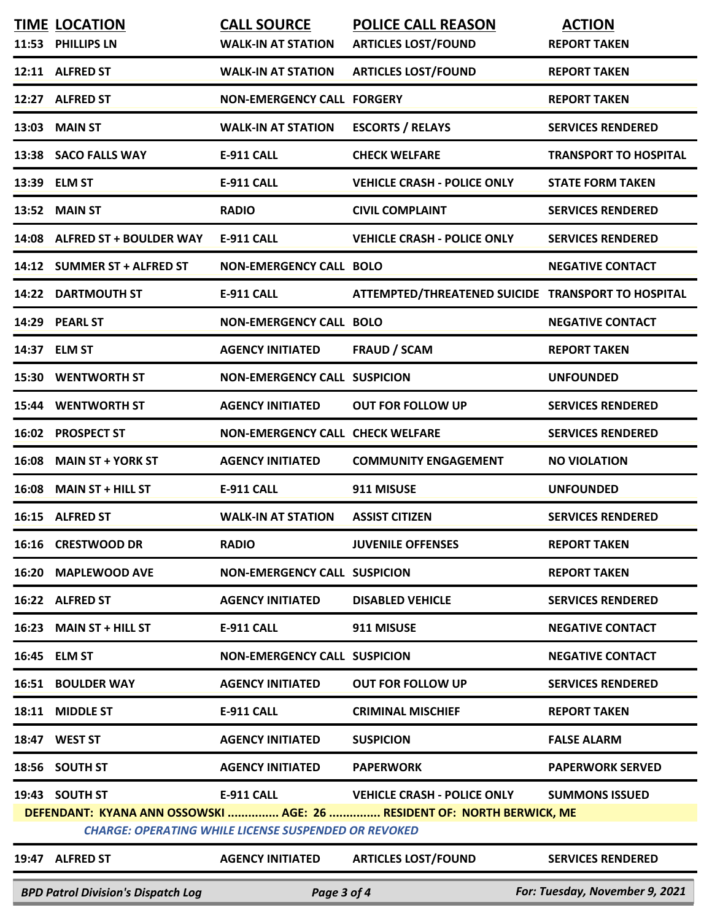| <b>BPD Patrol Division's Dispatch Log</b><br>Page 3 of 4                                                                              |                                           |                                                 |                                                         | For: Tuesday, November 9, 2021       |
|---------------------------------------------------------------------------------------------------------------------------------------|-------------------------------------------|-------------------------------------------------|---------------------------------------------------------|--------------------------------------|
|                                                                                                                                       | 19:47 ALFRED ST                           | <b>AGENCY INITIATED</b>                         | <b>ARTICLES LOST/FOUND</b>                              | <b>SERVICES RENDERED</b>             |
| DEFENDANT: KYANA ANN OSSOWSKI  AGE: 26  RESIDENT OF: NORTH BERWICK, ME<br><b>CHARGE: OPERATING WHILE LICENSE SUSPENDED OR REVOKED</b> |                                           |                                                 |                                                         |                                      |
|                                                                                                                                       | 19:43 SOUTH ST                            | <b>E-911 CALL</b>                               | <b>VEHICLE CRASH - POLICE ONLY</b>                      | <b>SUMMONS ISSUED</b>                |
|                                                                                                                                       | 18:56 SOUTH ST                            | <b>AGENCY INITIATED</b>                         | <b>PAPERWORK</b>                                        | <b>PAPERWORK SERVED</b>              |
|                                                                                                                                       | 18:47 WEST ST                             | <b>AGENCY INITIATED</b>                         | <b>SUSPICION</b>                                        | <b>FALSE ALARM</b>                   |
| 18:11                                                                                                                                 | <b>MIDDLE ST</b>                          | <b>E-911 CALL</b>                               | <b>CRIMINAL MISCHIEF</b>                                | <b>REPORT TAKEN</b>                  |
| 16:51                                                                                                                                 | <b>BOULDER WAY</b>                        | <b>AGENCY INITIATED</b>                         | <b>OUT FOR FOLLOW UP</b>                                | <b>SERVICES RENDERED</b>             |
|                                                                                                                                       | 16:45 ELM ST                              | <b>NON-EMERGENCY CALL SUSPICION</b>             |                                                         | <b>NEGATIVE CONTACT</b>              |
|                                                                                                                                       | 16:23 MAIN ST + HILL ST                   | <b>E-911 CALL</b>                               | 911 MISUSE                                              | <b>NEGATIVE CONTACT</b>              |
|                                                                                                                                       | 16:22 ALFRED ST                           | <b>AGENCY INITIATED</b>                         | <b>DISABLED VEHICLE</b>                                 | <b>SERVICES RENDERED</b>             |
| 16:20                                                                                                                                 | <b>MAPLEWOOD AVE</b>                      | <b>NON-EMERGENCY CALL SUSPICION</b>             |                                                         | <b>REPORT TAKEN</b>                  |
|                                                                                                                                       | 16:16 CRESTWOOD DR                        | <b>RADIO</b>                                    | <b>JUVENILE OFFENSES</b>                                | <b>REPORT TAKEN</b>                  |
|                                                                                                                                       | 16:15 ALFRED ST                           | <b>WALK-IN AT STATION</b>                       | <b>ASSIST CITIZEN</b>                                   | <b>SERVICES RENDERED</b>             |
| 16:08                                                                                                                                 | <b>MAIN ST + HILL ST</b>                  | E-911 CALL                                      | 911 MISUSE                                              | <b>UNFOUNDED</b>                     |
| 16:08                                                                                                                                 | <b>MAIN ST + YORK ST</b>                  | <b>AGENCY INITIATED</b>                         | <b>COMMUNITY ENGAGEMENT</b>                             | <b>NO VIOLATION</b>                  |
|                                                                                                                                       | 16:02 PROSPECT ST                         | <b>NON-EMERGENCY CALL CHECK WELFARE</b>         |                                                         | <b>SERVICES RENDERED</b>             |
| 15:44                                                                                                                                 | <b>WENTWORTH ST</b>                       | <b>AGENCY INITIATED</b>                         | <b>OUT FOR FOLLOW UP</b>                                | <b>SERVICES RENDERED</b>             |
| 15:30                                                                                                                                 | <b>WENTWORTH ST</b>                       | <b>NON-EMERGENCY CALL SUSPICION</b>             |                                                         | <b>UNFOUNDED</b>                     |
| 14:37                                                                                                                                 | <b>ELM ST</b>                             | <b>AGENCY INITIATED</b>                         | <b>FRAUD / SCAM</b>                                     | <b>REPORT TAKEN</b>                  |
|                                                                                                                                       | 14:29 PEARL ST                            | <b>NON-EMERGENCY CALL BOLO</b>                  |                                                         | <b>NEGATIVE CONTACT</b>              |
|                                                                                                                                       | 14:22 DARTMOUTH ST                        | <b>E-911 CALL</b>                               | ATTEMPTED/THREATENED SUICIDE TRANSPORT TO HOSPITAL      |                                      |
|                                                                                                                                       | 14:12 SUMMER ST + ALFRED ST               | <b>NON-EMERGENCY CALL BOLO</b>                  |                                                         | <b>NEGATIVE CONTACT</b>              |
|                                                                                                                                       | 14:08 ALFRED ST + BOULDER WAY             | <b>E-911 CALL</b>                               | <b>VEHICLE CRASH - POLICE ONLY</b>                      | <b>SERVICES RENDERED</b>             |
|                                                                                                                                       | 13:52 MAIN ST                             | <b>RADIO</b>                                    | <b>CIVIL COMPLAINT</b>                                  | <b>SERVICES RENDERED</b>             |
|                                                                                                                                       | 13:39 ELM ST                              | <b>E-911 CALL</b>                               | <b>VEHICLE CRASH - POLICE ONLY</b>                      | <b>STATE FORM TAKEN</b>              |
|                                                                                                                                       | 13:38 SACO FALLS WAY                      | <b>E-911 CALL</b>                               | <b>CHECK WELFARE</b>                                    | <b>TRANSPORT TO HOSPITAL</b>         |
| 13:03                                                                                                                                 | <b>MAIN ST</b>                            | <b>WALK-IN AT STATION</b>                       | <b>ESCORTS / RELAYS</b>                                 | <b>SERVICES RENDERED</b>             |
|                                                                                                                                       | 12:27 ALFRED ST                           | <b>NON-EMERGENCY CALL FORGERY</b>               |                                                         | <b>REPORT TAKEN</b>                  |
|                                                                                                                                       | 12:11 ALFRED ST                           | <b>WALK-IN AT STATION</b>                       | <b>ARTICLES LOST/FOUND</b>                              | <b>REPORT TAKEN</b>                  |
|                                                                                                                                       | <b>TIME LOCATION</b><br>11:53 PHILLIPS LN | <b>CALL SOURCE</b><br><b>WALK-IN AT STATION</b> | <b>POLICE CALL REASON</b><br><b>ARTICLES LOST/FOUND</b> | <b>ACTION</b><br><b>REPORT TAKEN</b> |
|                                                                                                                                       |                                           |                                                 |                                                         |                                      |